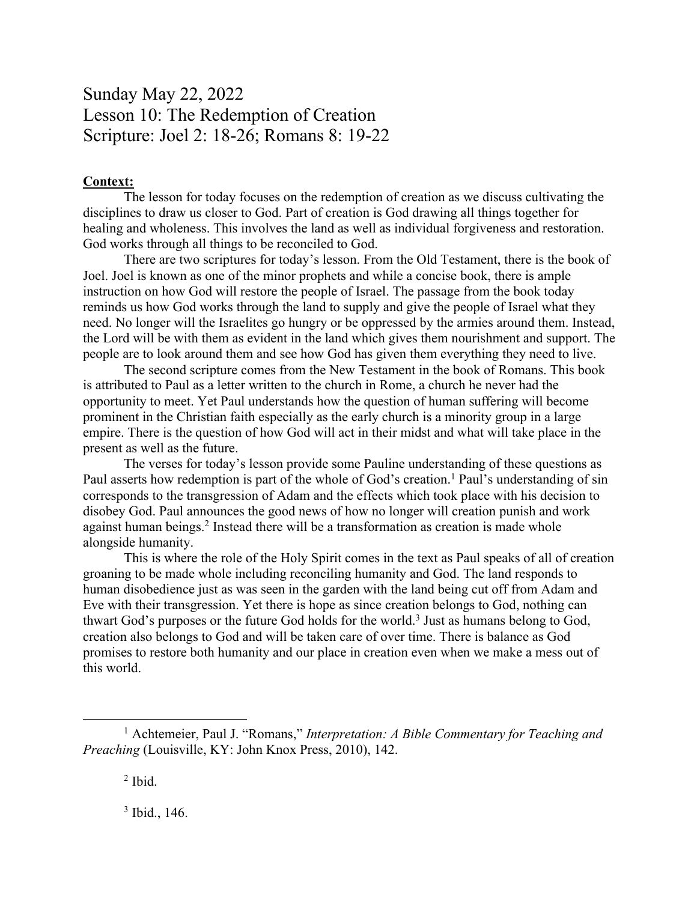## Sunday May 22, 2022 Lesson 10: The Redemption of Creation Scripture: Joel 2: 18-26; Romans 8: 19-22

## **Context:**

The lesson for today focuses on the redemption of creation as we discuss cultivating the disciplines to draw us closer to God. Part of creation is God drawing all things together for healing and wholeness. This involves the land as well as individual forgiveness and restoration. God works through all things to be reconciled to God.

There are two scriptures for today's lesson. From the Old Testament, there is the book of Joel. Joel is known as one of the minor prophets and while a concise book, there is ample instruction on how God will restore the people of Israel. The passage from the book today reminds us how God works through the land to supply and give the people of Israel what they need. No longer will the Israelites go hungry or be oppressed by the armies around them. Instead, the Lord will be with them as evident in the land which gives them nourishment and support. The people are to look around them and see how God has given them everything they need to live.

The second scripture comes from the New Testament in the book of Romans. This book is attributed to Paul as a letter written to the church in Rome, a church he never had the opportunity to meet. Yet Paul understands how the question of human suffering will become prominent in the Christian faith especially as the early church is a minority group in a large empire. There is the question of how God will act in their midst and what will take place in the present as well as the future.

The verses for today's lesson provide some Pauline understanding of these questions as Paul asserts how redemption is part of the whole of God's creation.<sup>1</sup> Paul's understanding of sin corresponds to the transgression of Adam and the effects which took place with his decision to disobey God. Paul announces the good news of how no longer will creation punish and work against human beings.<sup>2</sup> Instead there will be a transformation as creation is made whole alongside humanity.

This is where the role of the Holy Spirit comes in the text as Paul speaks of all of creation groaning to be made whole including reconciling humanity and God. The land responds to human disobedience just as was seen in the garden with the land being cut off from Adam and Eve with their transgression. Yet there is hope as since creation belongs to God, nothing can thwart God's purposes or the future God holds for the world.<sup>3</sup> Just as humans belong to God, creation also belongs to God and will be taken care of over time. There is balance as God promises to restore both humanity and our place in creation even when we make a mess out of this world.

 $<sup>2</sup>$  Ibid.</sup>

<sup>3</sup> Ibid., 146.

<sup>1</sup> Achtemeier, Paul J. "Romans," *Interpretation: A Bible Commentary for Teaching and Preaching* (Louisville, KY: John Knox Press, 2010), 142.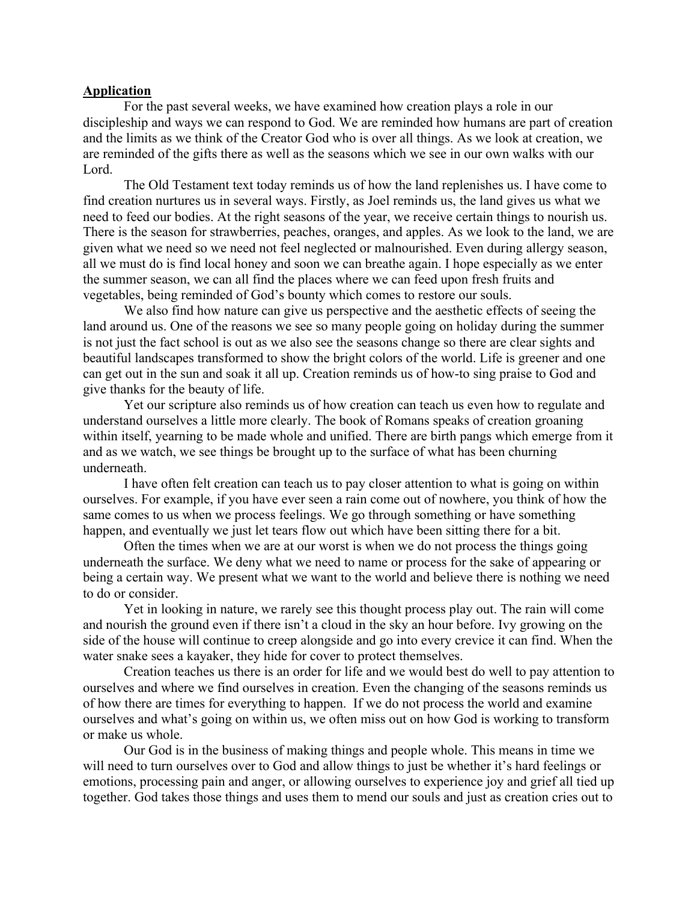## **Application**

For the past several weeks, we have examined how creation plays a role in our discipleship and ways we can respond to God. We are reminded how humans are part of creation and the limits as we think of the Creator God who is over all things. As we look at creation, we are reminded of the gifts there as well as the seasons which we see in our own walks with our Lord.

The Old Testament text today reminds us of how the land replenishes us. I have come to find creation nurtures us in several ways. Firstly, as Joel reminds us, the land gives us what we need to feed our bodies. At the right seasons of the year, we receive certain things to nourish us. There is the season for strawberries, peaches, oranges, and apples. As we look to the land, we are given what we need so we need not feel neglected or malnourished. Even during allergy season, all we must do is find local honey and soon we can breathe again. I hope especially as we enter the summer season, we can all find the places where we can feed upon fresh fruits and vegetables, being reminded of God's bounty which comes to restore our souls.

We also find how nature can give us perspective and the aesthetic effects of seeing the land around us. One of the reasons we see so many people going on holiday during the summer is not just the fact school is out as we also see the seasons change so there are clear sights and beautiful landscapes transformed to show the bright colors of the world. Life is greener and one can get out in the sun and soak it all up. Creation reminds us of how-to sing praise to God and give thanks for the beauty of life.

Yet our scripture also reminds us of how creation can teach us even how to regulate and understand ourselves a little more clearly. The book of Romans speaks of creation groaning within itself, yearning to be made whole and unified. There are birth pangs which emerge from it and as we watch, we see things be brought up to the surface of what has been churning underneath.

I have often felt creation can teach us to pay closer attention to what is going on within ourselves. For example, if you have ever seen a rain come out of nowhere, you think of how the same comes to us when we process feelings. We go through something or have something happen, and eventually we just let tears flow out which have been sitting there for a bit.

Often the times when we are at our worst is when we do not process the things going underneath the surface. We deny what we need to name or process for the sake of appearing or being a certain way. We present what we want to the world and believe there is nothing we need to do or consider.

Yet in looking in nature, we rarely see this thought process play out. The rain will come and nourish the ground even if there isn't a cloud in the sky an hour before. Ivy growing on the side of the house will continue to creep alongside and go into every crevice it can find. When the water snake sees a kayaker, they hide for cover to protect themselves.

Creation teaches us there is an order for life and we would best do well to pay attention to ourselves and where we find ourselves in creation. Even the changing of the seasons reminds us of how there are times for everything to happen. If we do not process the world and examine ourselves and what's going on within us, we often miss out on how God is working to transform or make us whole.

Our God is in the business of making things and people whole. This means in time we will need to turn ourselves over to God and allow things to just be whether it's hard feelings or emotions, processing pain and anger, or allowing ourselves to experience joy and grief all tied up together. God takes those things and uses them to mend our souls and just as creation cries out to